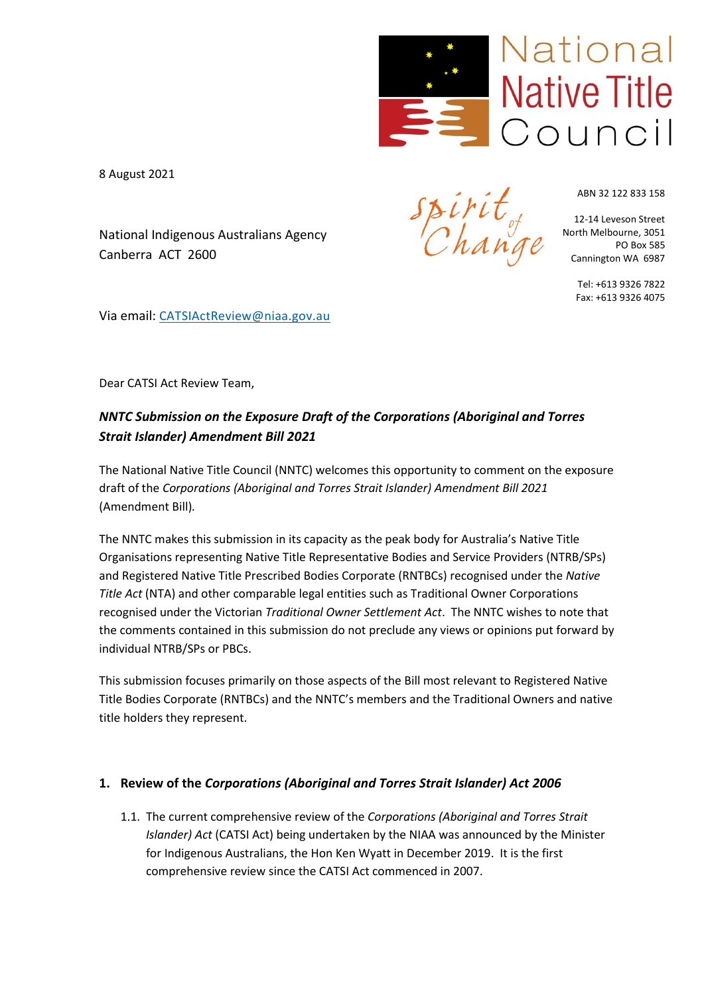

8 August 2021

National Indigenous Australians Agency Canberra ACT 2600

 $\mathcal{C}$ han

ABN 32 122 833 158

12-14 Leveson Street North Melbourne, 3051 PO Box 585 Cannington WA 6987

> Tel: +613 9326 7822 Fax: +613 9326 4075

Via email: CATSIActReview@niaa.gov.au

Dear CATSI Act Review Team,

# *NNTC Submission on the Exposure Draft of the Corporations (Aboriginal and Torres Strait Islander) Amendment Bill 2021*

The National Native Title Council (NNTC) welcomes this opportunity to comment on the exposure draft of the *Corporations (Aboriginal and Torres Strait Islander) Amendment Bill 2021* (Amendment Bill)*.*

The NNTC makes this submission in its capacity as the peak body for Australia's Native Title Organisations representing Native Title Representative Bodies and Service Providers (NTRB/SPs) and Registered Native Title Prescribed Bodies Corporate (RNTBCs) recognised under the *Native Title Act* (NTA) and other comparable legal entities such as Traditional Owner Corporations recognised under the Victorian *Traditional Owner Settlement Act*. The NNTC wishes to note that the comments contained in this submission do not preclude any views or opinions put forward by individual NTRB/SPs or PBCs.

This submission focuses primarily on those aspects of the Bill most relevant to Registered Native Title Bodies Corporate (RNTBCs) and the NNTC's members and the Traditional Owners and native title holders they represent.

## **1. Review of the** *Corporations (Aboriginal and Torres Strait Islander) Act 2006*

1.1. The current comprehensive review of the *Corporations (Aboriginal and Torres Strait Islander) Act* (CATSI Act) being undertaken by the NIAA was announced by the Minister for Indigenous Australians, the Hon Ken Wyatt in December 2019. It is the first comprehensive review since the CATSI Act commenced in 2007.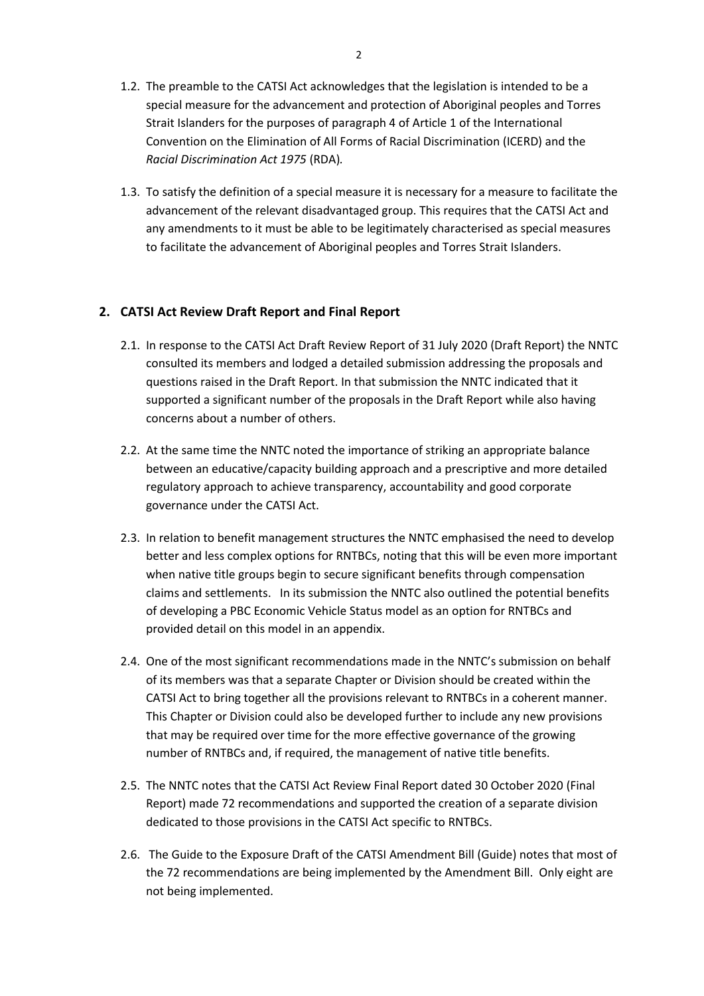- 1.2. The preamble to the CATSI Act acknowledges that the legislation is intended to be a special measure for the advancement and protection of Aboriginal peoples and Torres Strait Islanders for the purposes of paragraph 4 of Article 1 of the International Convention on the Elimination of All Forms of Racial Discrimination (ICERD) and the *Racial Discrimination Act 1975* (RDA)*.*
- 1.3. To satisfy the definition of a special measure it is necessary for a measure to facilitate the advancement of the relevant disadvantaged group. This requires that the CATSI Act and any amendments to it must be able to be legitimately characterised as special measures to facilitate the advancement of Aboriginal peoples and Torres Strait Islanders.

### **2. CATSI Act Review Draft Report and Final Report**

- 2.1. In response to the CATSI Act Draft Review Report of 31 July 2020 (Draft Report) the NNTC consulted its members and lodged a detailed submission addressing the proposals and questions raised in the Draft Report. In that submission the NNTC indicated that it supported a significant number of the proposals in the Draft Report while also having concerns about a number of others.
- 2.2. At the same time the NNTC noted the importance of striking an appropriate balance between an educative/capacity building approach and a prescriptive and more detailed regulatory approach to achieve transparency, accountability and good corporate governance under the CATSI Act.
- 2.3. In relation to benefit management structures the NNTC emphasised the need to develop better and less complex options for RNTBCs, noting that this will be even more important when native title groups begin to secure significant benefits through compensation claims and settlements. In its submission the NNTC also outlined the potential benefits of developing a PBC Economic Vehicle Status model as an option for RNTBCs and provided detail on this model in an appendix.
- 2.4. One of the most significant recommendations made in the NNTC's submission on behalf of its members was that a separate Chapter or Division should be created within the CATSI Act to bring together all the provisions relevant to RNTBCs in a coherent manner. This Chapter or Division could also be developed further to include any new provisions that may be required over time for the more effective governance of the growing number of RNTBCs and, if required, the management of native title benefits.
- 2.5. The NNTC notes that the CATSI Act Review Final Report dated 30 October 2020 (Final Report) made 72 recommendations and supported the creation of a separate division dedicated to those provisions in the CATSI Act specific to RNTBCs.
- 2.6. The Guide to the Exposure Draft of the CATSI Amendment Bill (Guide) notes that most of the 72 recommendations are being implemented by the Amendment Bill. Only eight are not being implemented.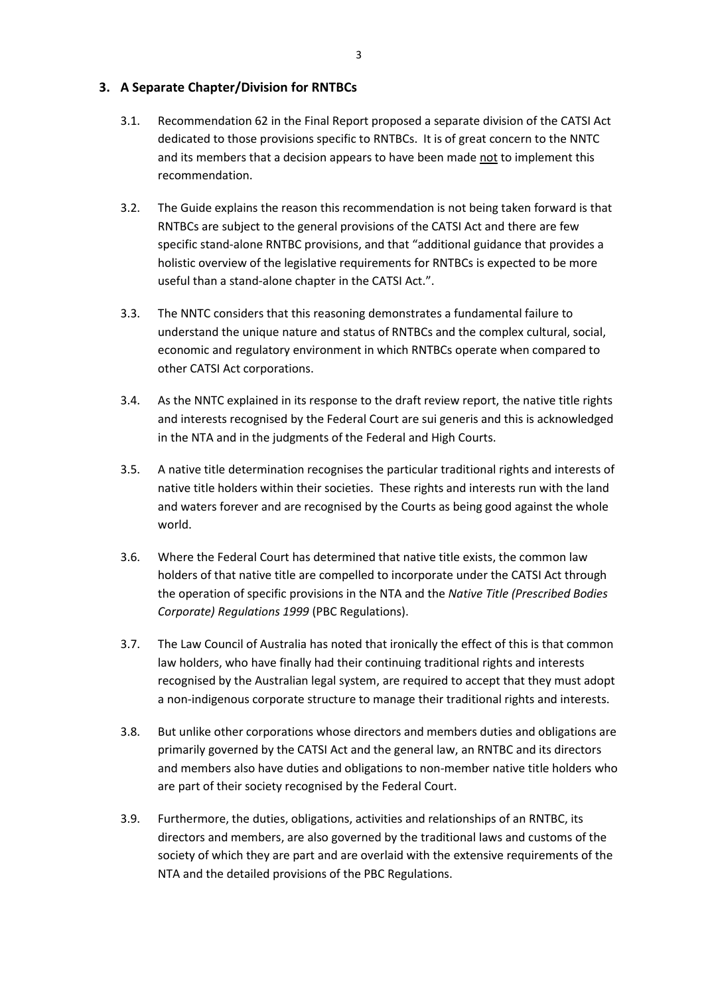### **3. A Separate Chapter/Division for RNTBCs**

- 3.1. Recommendation 62 in the Final Report proposed a separate division of the CATSI Act dedicated to those provisions specific to RNTBCs. It is of great concern to the NNTC and its members that a decision appears to have been made not to implement this recommendation.
- 3.2. The Guide explains the reason this recommendation is not being taken forward is that RNTBCs are subject to the general provisions of the CATSI Act and there are few specific stand-alone RNTBC provisions, and that "additional guidance that provides a holistic overview of the legislative requirements for RNTBCs is expected to be more useful than a stand-alone chapter in the CATSI Act.".
- 3.3. The NNTC considers that this reasoning demonstrates a fundamental failure to understand the unique nature and status of RNTBCs and the complex cultural, social, economic and regulatory environment in which RNTBCs operate when compared to other CATSI Act corporations.
- 3.4. As the NNTC explained in its response to the draft review report, the native title rights and interests recognised by the Federal Court are sui generis and this is acknowledged in the NTA and in the judgments of the Federal and High Courts.
- 3.5. A native title determination recognises the particular traditional rights and interests of native title holders within their societies. These rights and interests run with the land and waters forever and are recognised by the Courts as being good against the whole world.
- 3.6. Where the Federal Court has determined that native title exists, the common law holders of that native title are compelled to incorporate under the CATSI Act through the operation of specific provisions in the NTA and the *Native Title (Prescribed Bodies Corporate) Regulations 1999* (PBC Regulations).
- 3.7. The Law Council of Australia has noted that ironically the effect of this is that common law holders, who have finally had their continuing traditional rights and interests recognised by the Australian legal system, are required to accept that they must adopt a non-indigenous corporate structure to manage their traditional rights and interests.
- 3.8. But unlike other corporations whose directors and members duties and obligations are primarily governed by the CATSI Act and the general law, an RNTBC and its directors and members also have duties and obligations to non-member native title holders who are part of their society recognised by the Federal Court.
- 3.9. Furthermore, the duties, obligations, activities and relationships of an RNTBC, its directors and members, are also governed by the traditional laws and customs of the society of which they are part and are overlaid with the extensive requirements of the NTA and the detailed provisions of the PBC Regulations.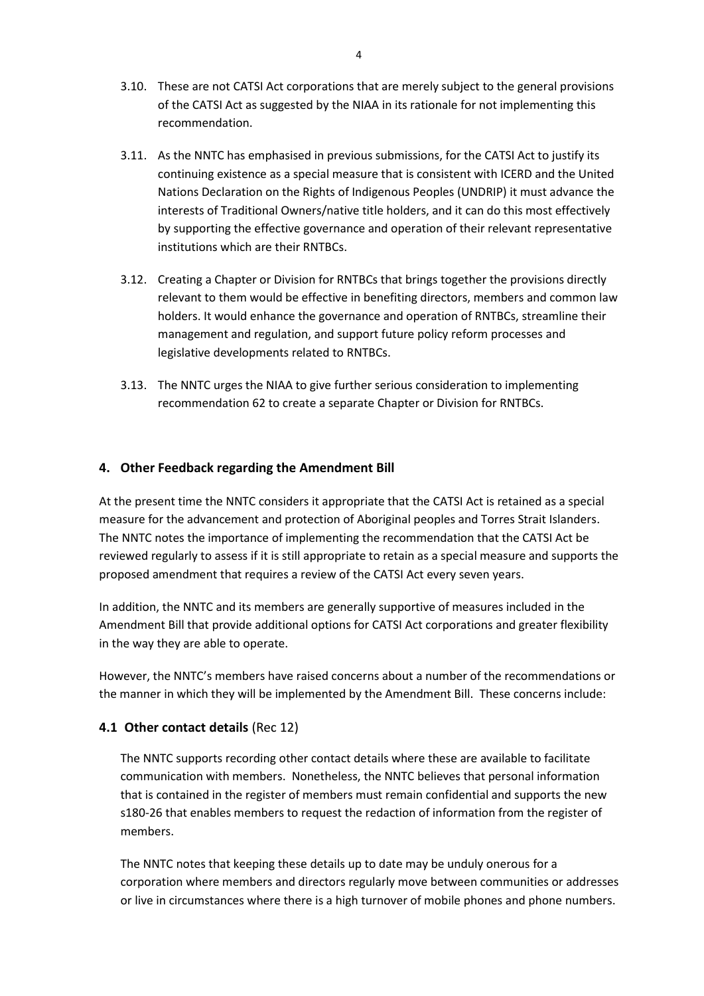- 3.10. These are not CATSI Act corporations that are merely subject to the general provisions of the CATSI Act as suggested by the NIAA in its rationale for not implementing this recommendation.
- 3.11. As the NNTC has emphasised in previous submissions, for the CATSI Act to justify its continuing existence as a special measure that is consistent with ICERD and the United Nations Declaration on the Rights of Indigenous Peoples (UNDRIP) it must advance the interests of Traditional Owners/native title holders, and it can do this most effectively by supporting the effective governance and operation of their relevant representative institutions which are their RNTBCs.
- 3.12. Creating a Chapter or Division for RNTBCs that brings together the provisions directly relevant to them would be effective in benefiting directors, members and common law holders. It would enhance the governance and operation of RNTBCs, streamline their management and regulation, and support future policy reform processes and legislative developments related to RNTBCs.
- 3.13. The NNTC urges the NIAA to give further serious consideration to implementing recommendation 62 to create a separate Chapter or Division for RNTBCs.

## **4. Other Feedback regarding the Amendment Bill**

At the present time the NNTC considers it appropriate that the CATSI Act is retained as a special measure for the advancement and protection of Aboriginal peoples and Torres Strait Islanders. The NNTC notes the importance of implementing the recommendation that the CATSI Act be reviewed regularly to assess if it is still appropriate to retain as a special measure and supports the proposed amendment that requires a review of the CATSI Act every seven years.

In addition, the NNTC and its members are generally supportive of measures included in the Amendment Bill that provide additional options for CATSI Act corporations and greater flexibility in the way they are able to operate.

However, the NNTC's members have raised concerns about a number of the recommendations or the manner in which they will be implemented by the Amendment Bill. These concerns include:

### **4.1 Other contact details** (Rec 12)

The NNTC supports recording other contact details where these are available to facilitate communication with members. Nonetheless, the NNTC believes that personal information that is contained in the register of members must remain confidential and supports the new s180-26 that enables members to request the redaction of information from the register of members.

The NNTC notes that keeping these details up to date may be unduly onerous for a corporation where members and directors regularly move between communities or addresses or live in circumstances where there is a high turnover of mobile phones and phone numbers.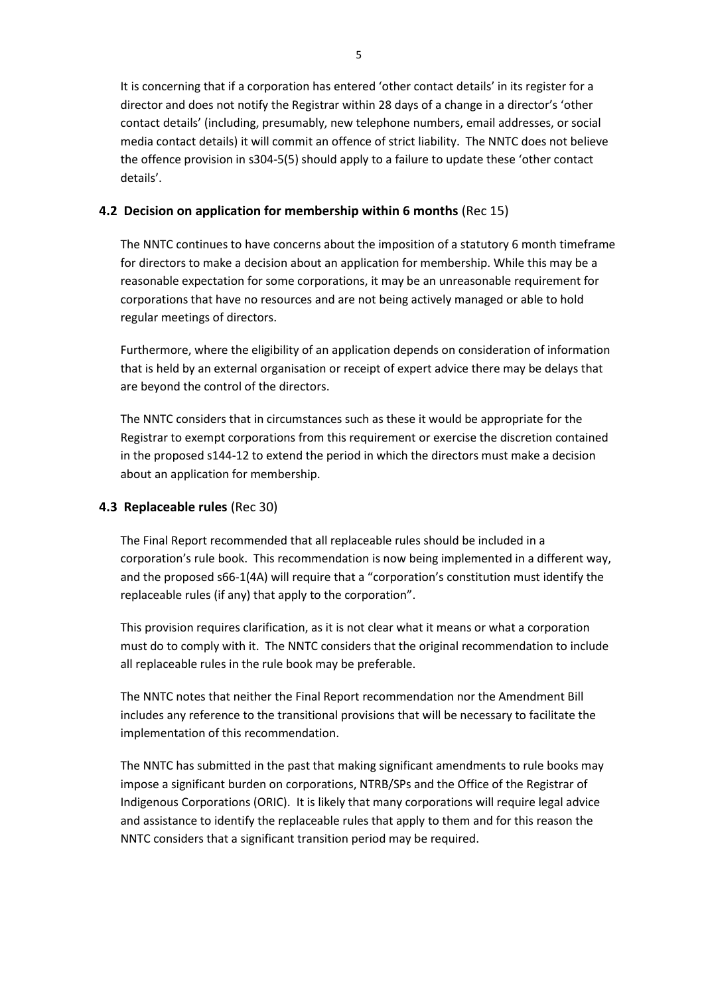It is concerning that if a corporation has entered 'other contact details' in its register for a director and does not notify the Registrar within 28 days of a change in a director's 'other contact details' (including, presumably, new telephone numbers, email addresses, or social media contact details) it will commit an offence of strict liability. The NNTC does not believe the offence provision in s304-5(5) should apply to a failure to update these 'other contact details'.

### **4.2 Decision on application for membership within 6 months** (Rec 15)

The NNTC continues to have concerns about the imposition of a statutory 6 month timeframe for directors to make a decision about an application for membership. While this may be a reasonable expectation for some corporations, it may be an unreasonable requirement for corporations that have no resources and are not being actively managed or able to hold regular meetings of directors.

Furthermore, where the eligibility of an application depends on consideration of information that is held by an external organisation or receipt of expert advice there may be delays that are beyond the control of the directors.

The NNTC considers that in circumstances such as these it would be appropriate for the Registrar to exempt corporations from this requirement or exercise the discretion contained in the proposed s144-12 to extend the period in which the directors must make a decision about an application for membership.

## **4.3 Replaceable rules** (Rec 30)

The Final Report recommended that all replaceable rules should be included in a corporation's rule book. This recommendation is now being implemented in a different way, and the proposed s66-1(4A) will require that a "corporation's constitution must identify the replaceable rules (if any) that apply to the corporation".

This provision requires clarification, as it is not clear what it means or what a corporation must do to comply with it. The NNTC considers that the original recommendation to include all replaceable rules in the rule book may be preferable.

The NNTC notes that neither the Final Report recommendation nor the Amendment Bill includes any reference to the transitional provisions that will be necessary to facilitate the implementation of this recommendation.

The NNTC has submitted in the past that making significant amendments to rule books may impose a significant burden on corporations, NTRB/SPs and the Office of the Registrar of Indigenous Corporations (ORIC). It is likely that many corporations will require legal advice and assistance to identify the replaceable rules that apply to them and for this reason the NNTC considers that a significant transition period may be required.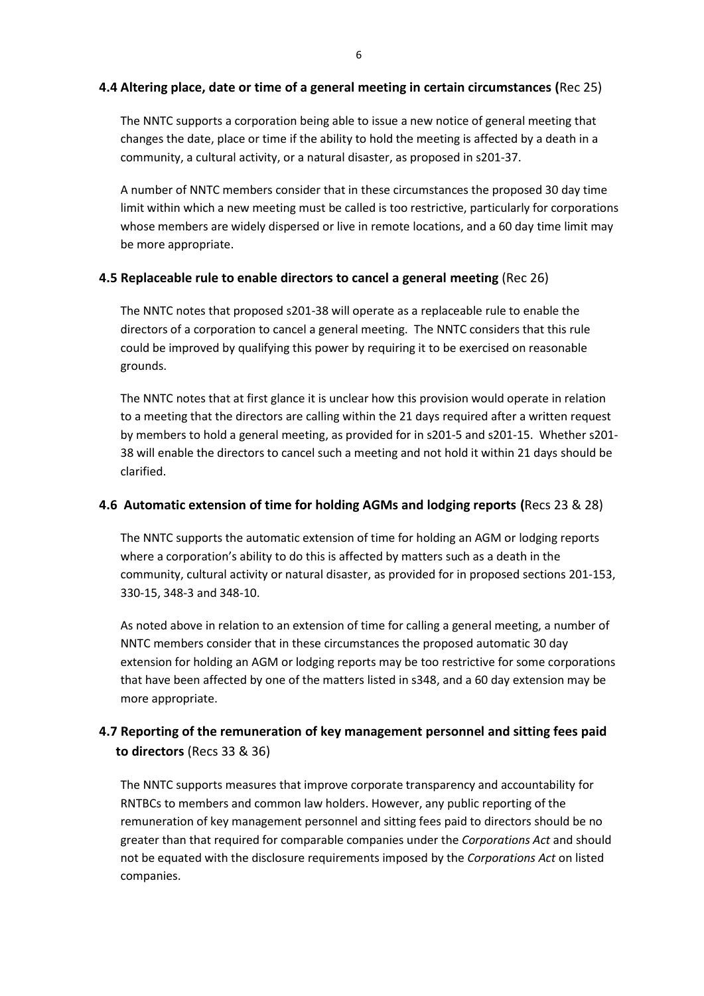### **4.4 Altering place, date or time of a general meeting in certain circumstances (**Rec 25)

The NNTC supports a corporation being able to issue a new notice of general meeting that changes the date, place or time if the ability to hold the meeting is affected by a death in a community, a cultural activity, or a natural disaster, as proposed in s201-37.

A number of NNTC members consider that in these circumstances the proposed 30 day time limit within which a new meeting must be called is too restrictive, particularly for corporations whose members are widely dispersed or live in remote locations, and a 60 day time limit may be more appropriate.

### **4.5 Replaceable rule to enable directors to cancel a general meeting** (Rec 26)

The NNTC notes that proposed s201-38 will operate as a replaceable rule to enable the directors of a corporation to cancel a general meeting. The NNTC considers that this rule could be improved by qualifying this power by requiring it to be exercised on reasonable grounds.

The NNTC notes that at first glance it is unclear how this provision would operate in relation to a meeting that the directors are calling within the 21 days required after a written request by members to hold a general meeting, as provided for in s201-5 and s201-15. Whether s201- 38 will enable the directors to cancel such a meeting and not hold it within 21 days should be clarified.

### **4.6 Automatic extension of time for holding AGMs and lodging reports (**Recs 23 & 28)

The NNTC supports the automatic extension of time for holding an AGM or lodging reports where a corporation's ability to do this is affected by matters such as a death in the community, cultural activity or natural disaster, as provided for in proposed sections 201-153, 330-15, 348-3 and 348-10.

As noted above in relation to an extension of time for calling a general meeting, a number of NNTC members consider that in these circumstances the proposed automatic 30 day extension for holding an AGM or lodging reports may be too restrictive for some corporations that have been affected by one of the matters listed in s348, and a 60 day extension may be more appropriate.

## **4.7 Reporting of the remuneration of key management personnel and sitting fees paid to directors** (Recs 33 & 36)

The NNTC supports measures that improve corporate transparency and accountability for RNTBCs to members and common law holders. However, any public reporting of the remuneration of key management personnel and sitting fees paid to directors should be no greater than that required for comparable companies under the *Corporations Act* and should not be equated with the disclosure requirements imposed by the *Corporations Act* on listed companies.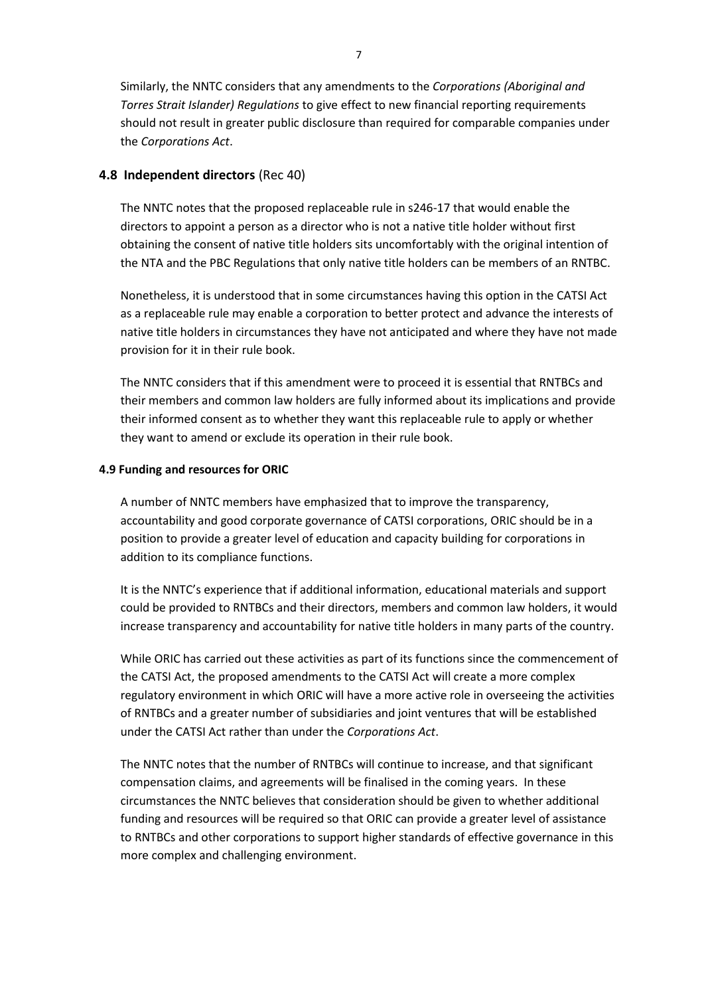Similarly, the NNTC considers that any amendments to the *Corporations (Aboriginal and Torres Strait Islander) Regulations* to give effect to new financial reporting requirements should not result in greater public disclosure than required for comparable companies under the *Corporations Act*.

#### **4.8 Independent directors** (Rec 40)

The NNTC notes that the proposed replaceable rule in s246-17 that would enable the directors to appoint a person as a director who is not a native title holder without first obtaining the consent of native title holders sits uncomfortably with the original intention of the NTA and the PBC Regulations that only native title holders can be members of an RNTBC.

Nonetheless, it is understood that in some circumstances having this option in the CATSI Act as a replaceable rule may enable a corporation to better protect and advance the interests of native title holders in circumstances they have not anticipated and where they have not made provision for it in their rule book.

The NNTC considers that if this amendment were to proceed it is essential that RNTBCs and their members and common law holders are fully informed about its implications and provide their informed consent as to whether they want this replaceable rule to apply or whether they want to amend or exclude its operation in their rule book.

#### **4.9 Funding and resources for ORIC**

A number of NNTC members have emphasized that to improve the transparency, accountability and good corporate governance of CATSI corporations, ORIC should be in a position to provide a greater level of education and capacity building for corporations in addition to its compliance functions.

It is the NNTC's experience that if additional information, educational materials and support could be provided to RNTBCs and their directors, members and common law holders, it would increase transparency and accountability for native title holders in many parts of the country.

While ORIC has carried out these activities as part of its functions since the commencement of the CATSI Act, the proposed amendments to the CATSI Act will create a more complex regulatory environment in which ORIC will have a more active role in overseeing the activities of RNTBCs and a greater number of subsidiaries and joint ventures that will be established under the CATSI Act rather than under the *Corporations Act*.

The NNTC notes that the number of RNTBCs will continue to increase, and that significant compensation claims, and agreements will be finalised in the coming years. In these circumstances the NNTC believes that consideration should be given to whether additional funding and resources will be required so that ORIC can provide a greater level of assistance to RNTBCs and other corporations to support higher standards of effective governance in this more complex and challenging environment.